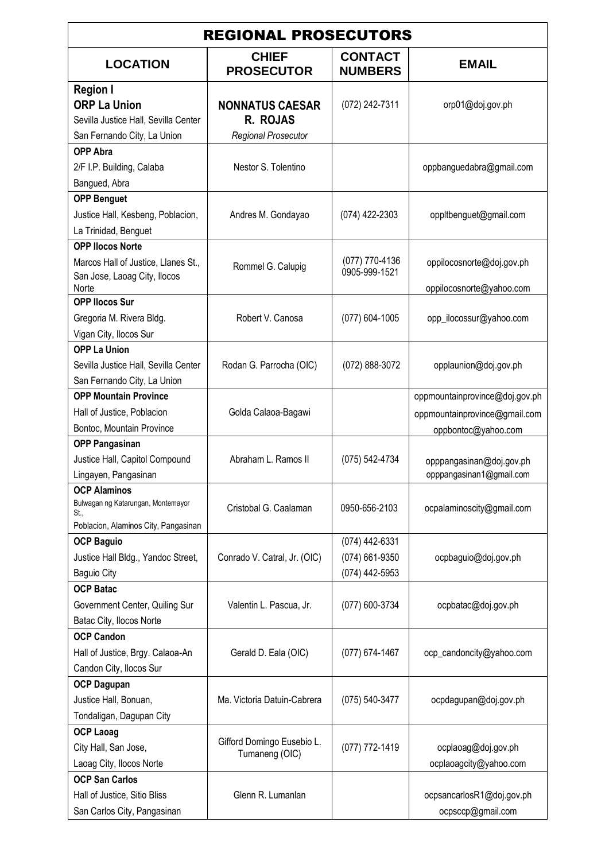| <b>REGIONAL PROSECUTORS</b>                                                        |                                    |                                  |                                                       |  |
|------------------------------------------------------------------------------------|------------------------------------|----------------------------------|-------------------------------------------------------|--|
| <b>LOCATION</b>                                                                    | <b>CHIEF</b><br><b>PROSECUTOR</b>  | <b>CONTACT</b><br><b>NUMBERS</b> | <b>EMAIL</b>                                          |  |
| <b>Region I</b><br><b>ORP La Union</b><br>Sevilla Justice Hall, Sevilla Center     | <b>NONNATUS CAESAR</b><br>R. ROJAS | (072) 242-7311                   | orp01@doj.gov.ph                                      |  |
| San Fernando City, La Union                                                        | <b>Regional Prosecutor</b>         |                                  |                                                       |  |
| <b>OPP Abra</b><br>2/F I.P. Building, Calaba                                       | Nestor S. Tolentino                |                                  | oppbanguedabra@gmail.com                              |  |
| Bangued, Abra                                                                      |                                    |                                  |                                                       |  |
| <b>OPP Benguet</b><br>Justice Hall, Kesbeng, Poblacion,<br>La Trinidad, Benguet    | Andres M. Gondayao                 | (074) 422-2303                   | oppltbenguet@gmail.com                                |  |
| <b>OPP Ilocos Norte</b>                                                            |                                    |                                  |                                                       |  |
| Marcos Hall of Justice, Llanes St.,<br>San Jose, Laoag City, Ilocos<br>Norte       | Rommel G. Calupig                  | (077) 770-4136<br>0905-999-1521  | oppilocosnorte@doj.gov.ph<br>oppilocosnorte@yahoo.com |  |
| <b>OPP Ilocos Sur</b>                                                              |                                    |                                  |                                                       |  |
| Gregoria M. Rivera Bldg.<br>Vigan City, Ilocos Sur                                 | Robert V. Canosa                   | (077) 604-1005                   | opp_ilocossur@yahoo.com                               |  |
| <b>OPP La Union</b>                                                                |                                    |                                  |                                                       |  |
| Sevilla Justice Hall, Sevilla Center                                               | Rodan G. Parrocha (OIC)            | (072) 888-3072                   | opplaunion@doj.gov.ph                                 |  |
| San Fernando City, La Union                                                        |                                    |                                  |                                                       |  |
| <b>OPP Mountain Province</b>                                                       |                                    |                                  | oppmountainprovince@doj.gov.ph                        |  |
| Hall of Justice, Poblacion                                                         | Golda Calaoa-Bagawi                |                                  | oppmountainprovince@gmail.com                         |  |
| Bontoc, Mountain Province                                                          |                                    |                                  | oppbontoc@yahoo.com                                   |  |
| <b>OPP Pangasinan</b>                                                              |                                    |                                  |                                                       |  |
| Justice Hall, Capitol Compound                                                     | Abraham L. Ramos II                | (075) 542-4734                   | opppangasinan@doj.gov.ph                              |  |
| Lingayen, Pangasinan                                                               |                                    |                                  | opppangasinan1@gmail.com                              |  |
| <b>OCP Alaminos</b>                                                                |                                    |                                  |                                                       |  |
| Bulwagan ng Katarungan, Montemayor<br>St.,<br>Poblacion, Alaminos City, Pangasinan | Cristobal G. Caalaman              | 0950-656-2103                    | ocpalaminoscity@gmail.com                             |  |
| <b>OCP Baguio</b>                                                                  |                                    | (074) 442-6331                   |                                                       |  |
| Justice Hall Bldg., Yandoc Street,                                                 | Conrado V. Catral, Jr. (OIC)       | (074) 661-9350                   | ocpbaguio@doj.gov.ph                                  |  |
| <b>Baguio City</b>                                                                 |                                    | (074) 442-5953                   |                                                       |  |
| <b>OCP Batac</b>                                                                   |                                    |                                  |                                                       |  |
| Government Center, Quiling Sur                                                     | Valentin L. Pascua, Jr.            | (077) 600-3734                   | ocpbatac@doj.gov.ph                                   |  |
| Batac City, Ilocos Norte                                                           |                                    |                                  |                                                       |  |
| <b>OCP Candon</b>                                                                  |                                    |                                  |                                                       |  |
| Hall of Justice, Brgy. Calaoa-An                                                   | Gerald D. Eala (OIC)               | (077) 674-1467                   | ocp_candoncity@yahoo.com                              |  |
| Candon City, Ilocos Sur                                                            |                                    |                                  |                                                       |  |
| <b>OCP Dagupan</b>                                                                 |                                    |                                  |                                                       |  |
| Justice Hall, Bonuan,                                                              | Ma. Victoria Datuin-Cabrera        | (075) 540-3477                   | ocpdagupan@doj.gov.ph                                 |  |
| Tondaligan, Dagupan City                                                           |                                    |                                  |                                                       |  |
| <b>OCP Laoag</b>                                                                   |                                    |                                  |                                                       |  |
| City Hall, San Jose,                                                               | Gifford Domingo Eusebio L.         | (077) 772-1419                   | ocplaoag@doj.gov.ph                                   |  |
| Laoag City, Ilocos Norte                                                           | Tumaneng (OIC)                     |                                  | ocplaoagcity@yahoo.com                                |  |
| <b>OCP San Carlos</b>                                                              |                                    |                                  |                                                       |  |
| Hall of Justice, Sitio Bliss                                                       | Glenn R. Lumanlan                  |                                  | ocpsancarlosR1@doj.gov.ph                             |  |
| San Carlos City, Pangasinan                                                        |                                    |                                  | ocpsccp@gmail.com                                     |  |